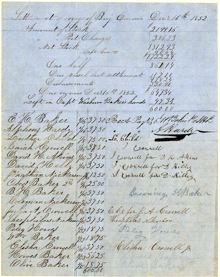Settlement of voyage of Brig Omma<br>Amount of Stock<br>Set Stock Charges Dec: 16th 1852  $219916$  $386.23$  $181293$ <br> $172229$ One half  $86211$  $\frac{11}{338}$   $\frac{10}{39}$ Disbursements Due owners Decit6 4. 1832.  $864734$  $12.34$ 60000 E. H. Baker 11637 50 Rect Pay & Mahn Pathle Alphens Hardy 163750 Courell David H. Ahing 1/16 3 / 30 I could for DI the Akins David Helly 1/16 37 50 Service for D'Ailles Obed Baker 2 2, 34, 2500 Browning HBaker Oreman Micherson (3) 30 Julia A Crowell 1/637 50 E. befor J. A. Crowell They hilas Nicken 183130 Theopholet's Nickenson: Peleg Horves 121873 Pelig Hours  $133/875$ Clisha Crowell y. Elisha Crowell  $1/63730$ Howes Baker  $3/335625$ Clive Baker Olive Baker  $12\frac{18}{600.00}$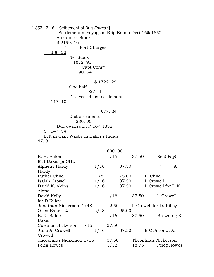$[1852-12-16 - \text{Settlement of Brig *Emma* :}]$ Settlement of voyage of Brig Emma Dec<sup>r</sup> 16<sup>th</sup> 1852 Amount of Stock  $$2199.16$ " Port Charges 386. 23 Net Stock

 1812. 93 Capt Comm 90. 64

## \$ 1722. 29

One half 861. 14 Due vessel last settlement 117 10

## 978. 24

Disbursements 330. 90 Due owners Dec<sup>r</sup> 16<sup>th</sup> 1832 \$ 647. 34 Left in Capt Wasburn Baker's hands 47. 34

|                                                       |  |      | 600.00       |              |                      |              |                                        |                   |
|-------------------------------------------------------|--|------|--------------|--------------|----------------------|--------------|----------------------------------------|-------------------|
| E. H. Baker                                           |  |      | 1/16         |              | 37.50                |              | $Rec^{\underline{d}}$ Pay <sup>t</sup> |                   |
| E H Baker pr SHL                                      |  |      |              |              |                      |              |                                        |                   |
| Alpheus Hardy                                         |  | 1/16 |              | 37.50        |                      | $\mathbf{H}$ | $\boldsymbol{\mathsf{H}}$              | A                 |
| Hardy                                                 |  |      |              |              |                      |              |                                        |                   |
| Luther Child                                          |  | 1/8  |              | 75.00        |                      | L. Child     |                                        |                   |
| Isaiah Crowell                                        |  |      | $1/16$ 37.50 |              |                      | I Crowell    |                                        |                   |
| David K. Akins                                        |  | 1/16 |              | 37.50        |                      |              |                                        | I Crowell for D K |
| Akins                                                 |  |      |              |              |                      |              |                                        |                   |
| David Kelly                                           |  |      | 1/16         |              | 37.50                |              | I Crowell                              |                   |
| for D Killey                                          |  |      |              |              |                      |              |                                        |                   |
| Jonathan Nickerson 1/48 12.50 I Crowell for D. Killey |  |      |              |              |                      |              |                                        |                   |
| Obed Baker 2 <sup>d</sup>                             |  |      | 2/48 25.00   |              |                      |              |                                        |                   |
| B. K. Baker                                           |  |      |              | $1/16$ 37.50 |                      |              |                                        | Browning K        |
| Baker                                                 |  |      |              |              |                      |              |                                        |                   |
| Coleman Nickerson 1/16 37.50                          |  |      |              |              |                      |              |                                        |                   |
| Julia A. Crowell                                      |  |      | $1/16$ 37.50 |              |                      |              | E C Jr for J. A.                       |                   |
| Crowell                                               |  |      |              |              |                      |              |                                        |                   |
| Theophilus Nickerson 1/16                             |  |      | 37.50        |              | Theophilus Nickerson |              |                                        |                   |
| Peleg Howes                                           |  |      | 1/32         |              |                      |              |                                        | 18.75 Peleg Howes |